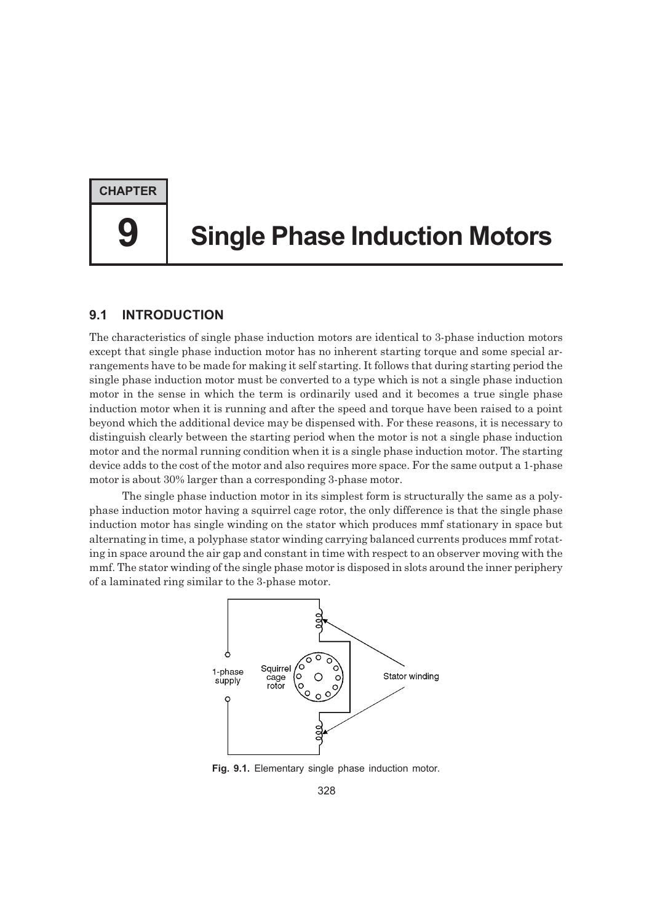**CHAPTER** 

# **Single Phase Induction Motors**

# $9.1$ **INTRODUCTION**

The characteristics of single phase induction motors are identical to 3-phase induction motors except that single phase induction motor has no inherent starting torque and some special arrangements have to be made for making it self starting. It follows that during starting period the single phase induction motor must be converted to a type which is not a single phase induction motor in the sense in which the term is ordinarily used and it becomes a true single phase induction motor when it is running and after the speed and torque have been raised to a point beyond which the additional device may be dispensed with. For these reasons, it is necessary to distinguish clearly between the starting period when the motor is not a single phase induction motor and the normal running condition when it is a single phase induction motor. The starting device adds to the cost of the motor and also requires more space. For the same output a 1-phase motor is about 30% larger than a corresponding 3-phase motor.

The single phase induction motor in its simplest form is structurally the same as a polyphase induction motor having a squirrel cage rotor, the only difference is that the single phase induction motor has single winding on the stator which produces mmf stationary in space but alternating in time, a polyphase stator winding carrying balanced currents produces mmf rotating in space around the air gap and constant in time with respect to an observer moving with the mmf. The stator winding of the single phase motor is disposed in slots around the inner periphery of a laminated ring similar to the 3-phase motor.



Fig. 9.1. Elementary single phase induction motor.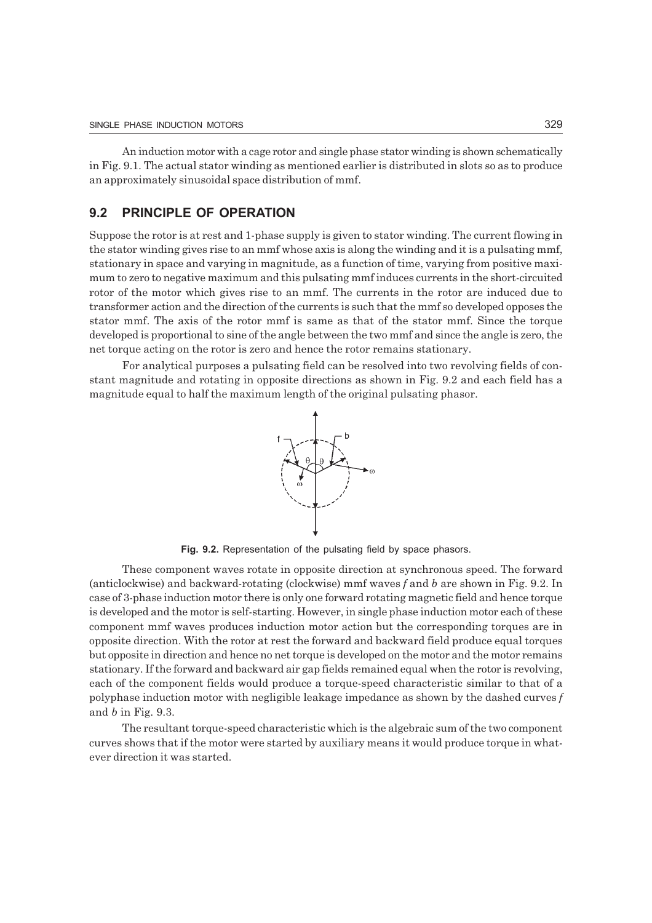An induction motor with a cage rotor and single phase stator winding is shown schematically in Fig. 9.1. The actual stator winding as mentioned earlier is distributed in slots so as to produce an approximately sinusoidal space distribution of mmf.

# **PRINCIPLE OF OPERATION**  $9.2$

Suppose the rotor is at rest and 1-phase supply is given to stator winding. The current flowing in the stator winding gives rise to an mmf whose axis is along the winding and it is a pulsating mmf, stationary in space and varying in magnitude, as a function of time, varying from positive maximum to zero to negative maximum and this pulsating mmf induces currents in the short-circuited rotor of the motor which gives rise to an mmf. The currents in the rotor are induced due to transformer action and the direction of the currents is such that the mmf so developed opposes the stator mmf. The axis of the rotor mmf is same as that of the stator mmf. Since the torque developed is proportional to sine of the angle between the two mmf and since the angle is zero, the net torque acting on the rotor is zero and hence the rotor remains stationary.

For analytical purposes a pulsating field can be resolved into two revolving fields of constant magnitude and rotating in opposite directions as shown in Fig. 9.2 and each field has a magnitude equal to half the maximum length of the original pulsating phasor.



Fig. 9.2. Representation of the pulsating field by space phasors.

These component waves rotate in opposite direction at synchronous speed. The forward (anticlockwise) and backward-rotating (clockwise) mmf waves f and b are shown in Fig. 9.2. In case of 3-phase induction motor there is only one forward rotating magnetic field and hence torque is developed and the motor is self-starting. However, in single phase induction motor each of these component mmf waves produces induction motor action but the corresponding torques are in opposite direction. With the rotor at rest the forward and backward field produce equal torques but opposite in direction and hence no net torque is developed on the motor and the motor remains stationary. If the forward and backward air gap fields remained equal when the rotor is revolving. each of the component fields would produce a torque-speed characteristic similar to that of a polyphase induction motor with negligible leakage impedance as shown by the dashed curves  $f$ and  $b$  in Fig. 9.3.

The resultant torque-speed characteristic which is the algebraic sum of the two component curves shows that if the motor were started by auxiliary means it would produce torque in whatever direction it was started.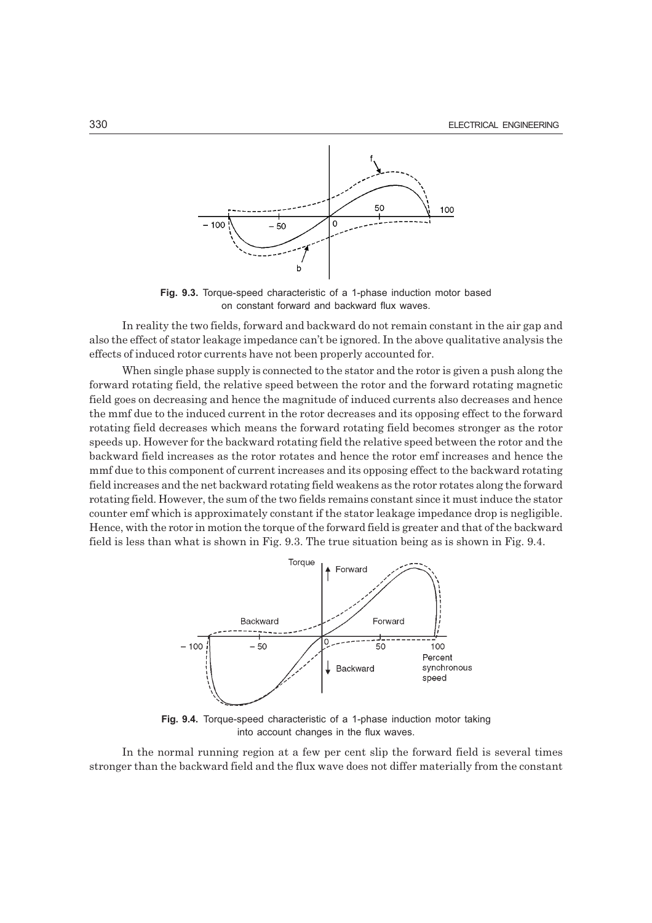

Fig. 9.3. Torque-speed characteristic of a 1-phase induction motor based on constant forward and backward flux waves.

In reality the two fields, forward and backward do not remain constant in the air gap and also the effect of stator leakage impedance can't be ignored. In the above qualitative analysis the effects of induced rotor currents have not been properly accounted for.

When single phase supply is connected to the stator and the rotor is given a push along the forward rotating field, the relative speed between the rotor and the forward rotating magnetic field goes on decreasing and hence the magnitude of induced currents also decreases and hence the mmf due to the induced current in the rotor decreases and its opposing effect to the forward rotating field decreases which means the forward rotating field becomes stronger as the rotor speeds up. However for the backward rotating field the relative speed between the rotor and the backward field increases as the rotor rotates and hence the rotor emf increases and hence the mmf due to this component of current increases and its opposing effect to the backward rotating field increases and the net backward rotating field weakens as the rotor rotates along the forward rotating field. However, the sum of the two fields remains constant since it must induce the stator counter emf which is approximately constant if the stator leakage impedance drop is negligible. Hence, with the rotor in motion the torque of the forward field is greater and that of the backward field is less than what is shown in Fig. 9.3. The true situation being as is shown in Fig. 9.4.



Fig. 9.4. Torque-speed characteristic of a 1-phase induction motor taking into account changes in the flux waves.

In the normal running region at a few per cent slip the forward field is several times stronger than the backward field and the flux wave does not differ materially from the constant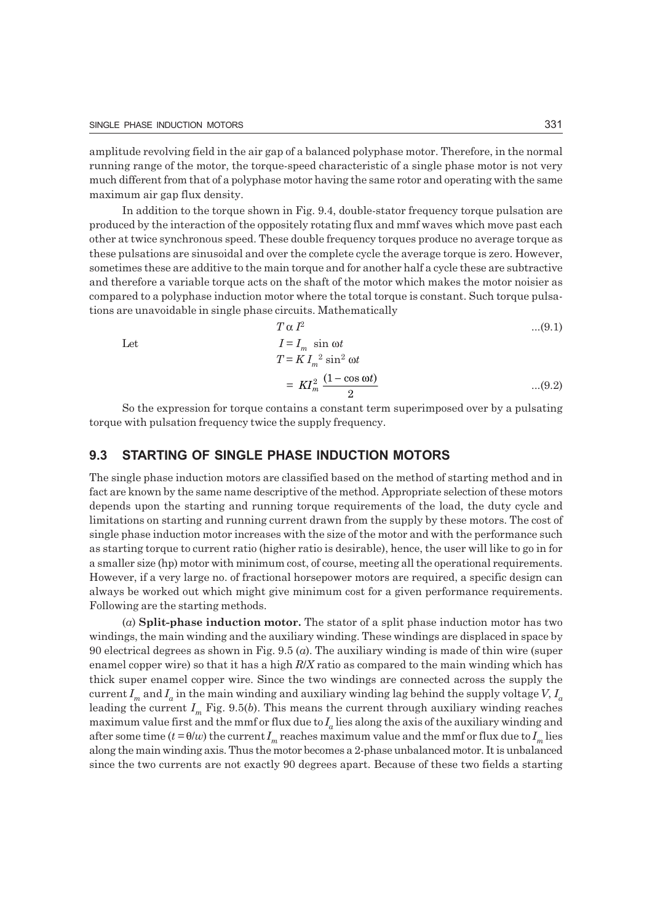amplitude revolving field in the air gap of a balanced polyphase motor. Therefore, in the normal running range of the motor, the torque-speed characteristic of a single phase motor is not very much different from that of a polyphase motor having the same rotor and operating with the same maximum air gap flux density.

In addition to the torque shown in Fig. 9.4, double-stator frequency torque pulsation are produced by the interaction of the oppositely rotating flux and mmf waves which move past each other at twice synchronous speed. These double frequency torques produce no average torque as these pulsations are sinusoidal and over the complete cycle the average torque is zero. However, sometimes these are additive to the main torque and for another half a cycle these are subtractive and therefore a variable torque acts on the shaft of the motor which makes the motor noisier as compared to a polyphase induction motor where the total torque is constant. Such torque pulsations are unavoidable in single phase circuits. Mathematically

Let

$$
T \alpha I^2 \qquad \qquad ...(9.1)
$$
  
\n
$$
I = I_m \sin \omega t
$$
  
\n
$$
T = K I_m^2 \sin^2 \omega t
$$
  
\n
$$
= K I_m^2 \frac{(1 - \cos \omega t)}{2}
$$

So the expression for torque contains a constant term superimposed over by a pulsating torque with pulsation frequency twice the supply frequency.

#### $9.3$ STARTING OF SINGLE PHASE INDUCTION MOTORS

The single phase induction motors are classified based on the method of starting method and in fact are known by the same name descriptive of the method. Appropriate selection of these motors depends upon the starting and running torque requirements of the load, the duty cycle and limitations on starting and running current drawn from the supply by these motors. The cost of single phase induction motor increases with the size of the motor and with the performance such as starting torque to current ratio (higher ratio is desirable), hence, the user will like to go in for a smaller size (hp) motor with minimum cost, of course, meeting all the operational requirements. However, if a very large no. of fractional horsepower motors are required, a specific design can always be worked out which might give minimum cost for a given performance requirements. Following are the starting methods.

(a) Split-phase induction motor. The stator of a split phase induction motor has two windings, the main winding and the auxiliary winding. These windings are displaced in space by 90 electrical degrees as shown in Fig. 9.5  $(a)$ . The auxiliary winding is made of thin wire (super enamel copper wire) so that it has a high  $R/X$  ratio as compared to the main winding which has thick super enamel copper wire. Since the two windings are connected across the supply the current  $I_m$  and  $I_a$  in the main winding and auxiliary winding lag behind the supply voltage V,  $I_a$ leading the current  $I_m$  Fig. 9.5(b). This means the current through auxiliary winding reaches maximum value first and the mmf or flux due to  $I_a$  lies along the axis of the auxiliary winding and after some time  $(t = \theta/w)$  the current  $I_m$  reaches maximum value and the mmf or flux due to  $I_m$  lies along the main winding axis. Thus the motor becomes a 2-phase unbalanced motor. It is unbalanced since the two currents are not exactly 90 degrees apart. Because of these two fields a starting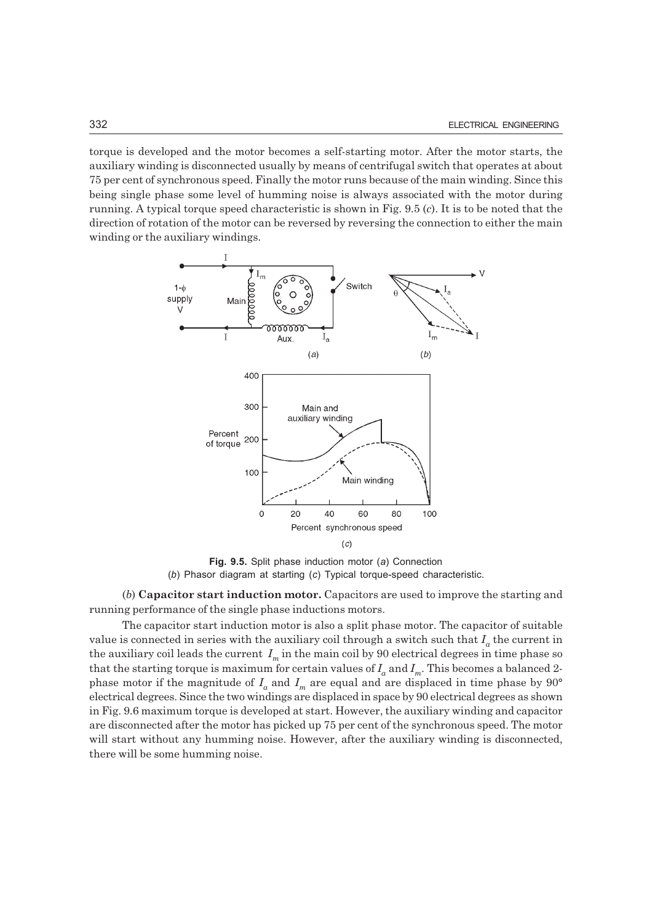torque is developed and the motor becomes a self-starting motor. After the motor starts, the auxiliary winding is disconnected usually by means of centrifugal switch that operates at about 75 per cent of synchronous speed. Finally the motor runs because of the main winding. Since this being single phase some level of humming noise is always associated with the motor during running. A typical torque speed characteristic is shown in Fig. 9.5  $(c)$ . It is to be noted that the direction of rotation of the motor can be reversed by reversing the connection to either the main winding or the auxiliary windings.



Fig. 9.5. Split phase induction motor (a) Connection (b) Phasor diagram at starting (c) Typical torque-speed characteristic.

 $(b)$  Capacitor start induction motor. Capacitors are used to improve the starting and running performance of the single phase inductions motors.

The capacitor start induction motor is also a split phase motor. The capacitor of suitable value is connected in series with the auxiliary coil through a switch such that  $I_a$  the current in the auxiliary coil leads the current  $I_m$  in the main coil by 90 electrical degrees in time phase so that the starting torque is maximum for certain values of  $I_a$  and  $I_m$ . This becomes a balanced 2phase motor if the magnitude of  $I_a$  and  $I_m$  are equal and are displaced in time phase by 90° electrical degrees. Since the two windings are displaced in space by 90 electrical degrees as shown in Fig. 9.6 maximum torque is developed at start. However, the auxiliary winding and capacitor are disconnected after the motor has picked up 75 per cent of the synchronous speed. The motor will start without any humming noise. However, after the auxiliary winding is disconnected, there will be some humming noise.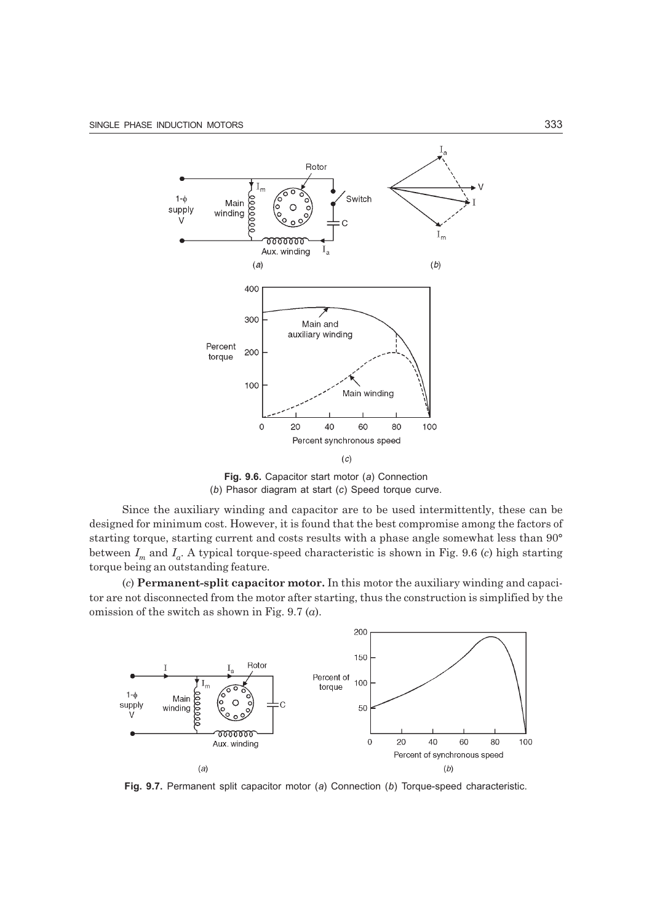

Fig. 9.6. Capacitor start motor (a) Connection (b) Phasor diagram at start (c) Speed torque curve.

Since the auxiliary winding and capacitor are to be used intermittently, these can be designed for minimum cost. However, it is found that the best compromise among the factors of starting torque, starting current and costs results with a phase angle somewhat less than 90° between  $I_m$  and  $I_a$ . A typical torque-speed characteristic is shown in Fig. 9.6 (c) high starting torque being an outstanding feature.

 $(c)$  **Permanent-split capacitor motor.** In this motor the auxiliary winding and capacitor are not disconnected from the motor after starting, thus the construction is simplified by the omission of the switch as shown in Fig. 9.7  $(a)$ .



Fig. 9.7. Permanent split capacitor motor (a) Connection (b) Torque-speed characteristic.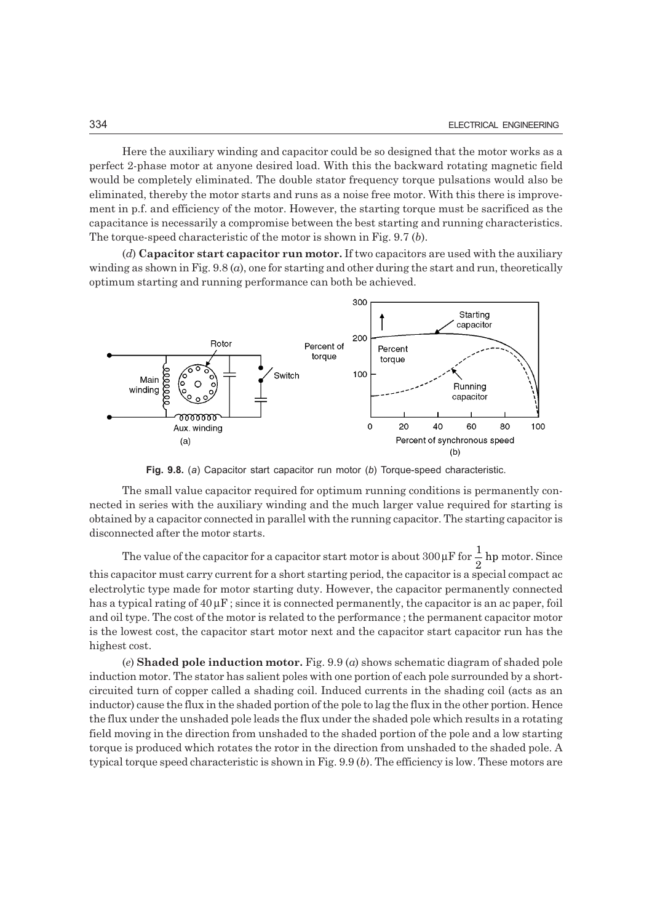Here the auxiliary winding and capacitor could be so designed that the motor works as a perfect 2-phase motor at anyone desired load. With this the backward rotating magnetic field would be completely eliminated. The double stator frequency torque pulsations would also be eliminated, thereby the motor starts and runs as a noise free motor. With this there is improvement in p.f. and efficiency of the motor. However, the starting torque must be sacrificed as the capacitance is necessarily a compromise between the best starting and running characteristics. The torque-speed characteristic of the motor is shown in Fig.  $9.7(b)$ .

 $(d)$  Capacitor start capacitor run motor. If two capacitors are used with the auxiliary winding as shown in Fig. 9.8  $(a)$ , one for starting and other during the start and run, theoretically optimum starting and running performance can both be achieved.



Fig. 9.8. (a) Capacitor start capacitor run motor  $(b)$  Torque-speed characteristic.

The small value capacitor required for optimum running conditions is permanently connected in series with the auxiliary winding and the much larger value required for starting is obtained by a capacitor connected in parallel with the running capacitor. The starting capacitor is disconnected after the motor starts.

The value of the capacitor for a capacitor start motor is about  $300 \mu$ F for  $\frac{1}{2}$  hp motor. Since this capacitor must carry current for a short starting period, the capacitor is a special compact ac electrolytic type made for motor starting duty. However, the capacitor permanently connected has a typical rating of  $40 \mu$ F; since it is connected permanently, the capacitor is an ac paper, foil and oil type. The cost of the motor is related to the performance; the permanent capacitor motor is the lowest cost, the capacitor start motor next and the capacitor start capacitor run has the highest cost.

(e) Shaded pole induction motor. Fig. 9.9 (a) shows schematic diagram of shaded pole induction motor. The stator has salient poles with one portion of each pole surrounded by a shortcircuited turn of copper called a shading coil. Induced currents in the shading coil (acts as an inductor) cause the flux in the shaded portion of the pole to lag the flux in the other portion. Hence the flux under the unshaded pole leads the flux under the shaded pole which results in a rotating field moving in the direction from unshaded to the shaded portion of the pole and a low starting torque is produced which rotates the rotor in the direction from unshaded to the shaded pole. A typical torque speed characteristic is shown in Fig.  $9.9(b)$ . The efficiency is low. These motors are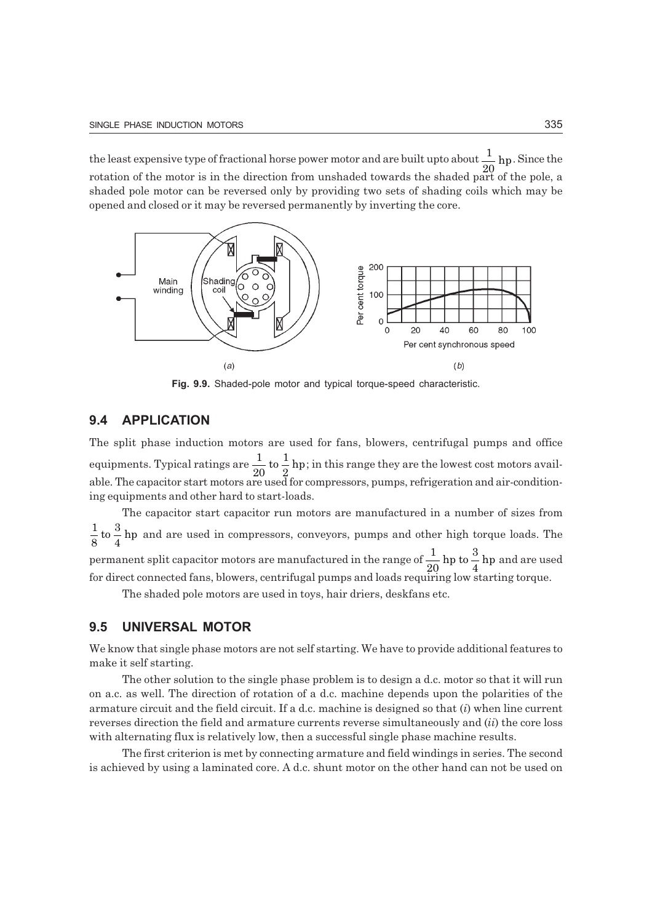the least expensive type of fractional horse power motor and are built upto about  $\frac{1}{20}$  hp. Since the rotation of the motor is in the direction from unshaded towards the shaded part of the pole, a shaded pole motor can be reversed only by providing two sets of shading coils which may be opened and closed or it may be reversed permanently by inverting the core.



Fig. 9.9. Shaded-pole motor and typical torque-speed characteristic.

# **APPLICATION** 9.4

The split phase induction motors are used for fans, blowers, centrifugal pumps and office equipments. Typical ratings are  $\frac{1}{20}$  to  $\frac{1}{2}$  hp; in this range they are the lowest cost motors available. The capacitor start motors are used for compressors, pumps, refrigeration and air-conditioning equipments and other hard to start-loads.

The capacitor start capacitor run motors are manufactured in a number of sizes from  $\frac{1}{8}$  to  $\frac{3}{4}$  hp and are used in compressors, conveyors, pumps and other high torque loads. The permanent split capacitor motors are manufactured in the range of  $\frac{1}{20}$  hp to  $\frac{3}{4}$  hp and are used<br>for direct connected fans, blowers, centrifugal pumps and loads requiring low starting torque.

The shaded pole motors are used in toys, hair driers, deskfans etc.

#### 9.5 **UNIVERSAL MOTOR**

We know that single phase motors are not self starting. We have to provide additional features to make it self starting.

The other solution to the single phase problem is to design a d.c. motor so that it will run on a.c. as well. The direction of rotation of a d.c. machine depends upon the polarities of the armature circuit and the field circuit. If a d.c. machine is designed so that  $(i)$  when line current reverses direction the field and armature currents reverse simultaneously and *(ii)* the core loss with alternating flux is relatively low, then a successful single phase machine results.

The first criterion is met by connecting armature and field windings in series. The second is achieved by using a laminated core. A d.c. shunt motor on the other hand can not be used on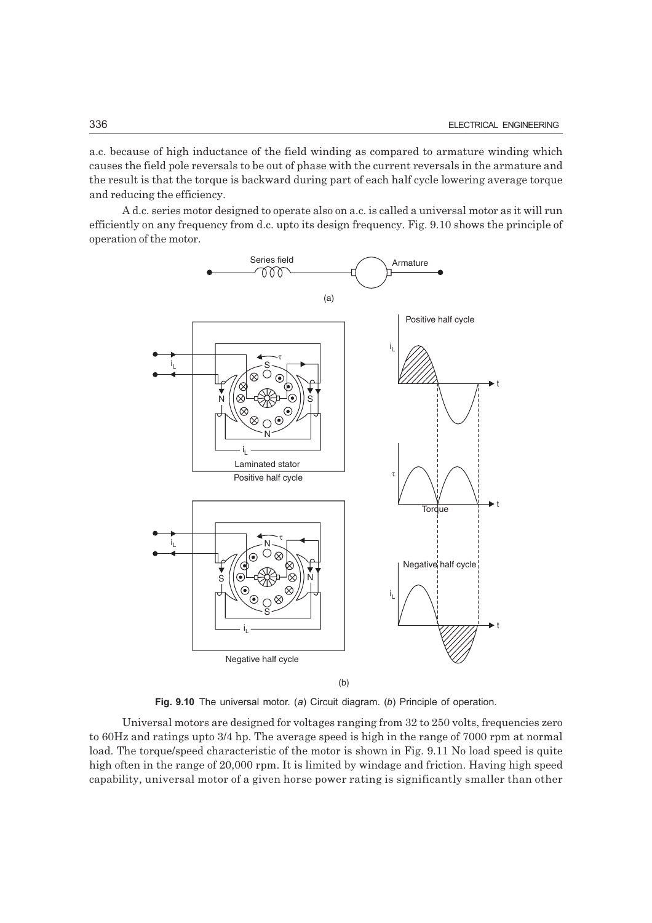a.c. because of high inductance of the field winding as compared to armature winding which causes the field pole reversals to be out of phase with the current reversals in the armature and the result is that the torque is backward during part of each half cycle lowering average torque and reducing the efficiency.

A d.c. series motor designed to operate also on a.c. is called a universal motor as it will run efficiently on any frequency from d.c. upto its design frequency. Fig. 9.10 shows the principle of operation of the motor.



Fig. 9.10 The universal motor. (a) Circuit diagram. (b) Principle of operation.

Universal motors are designed for voltages ranging from 32 to 250 volts, frequencies zero to 60Hz and ratings upto 3/4 hp. The average speed is high in the range of 7000 rpm at normal load. The torque/speed characteristic of the motor is shown in Fig. 9.11 No load speed is quite high often in the range of 20,000 rpm. It is limited by windage and friction. Having high speed capability, universal motor of a given horse power rating is significantly smaller than other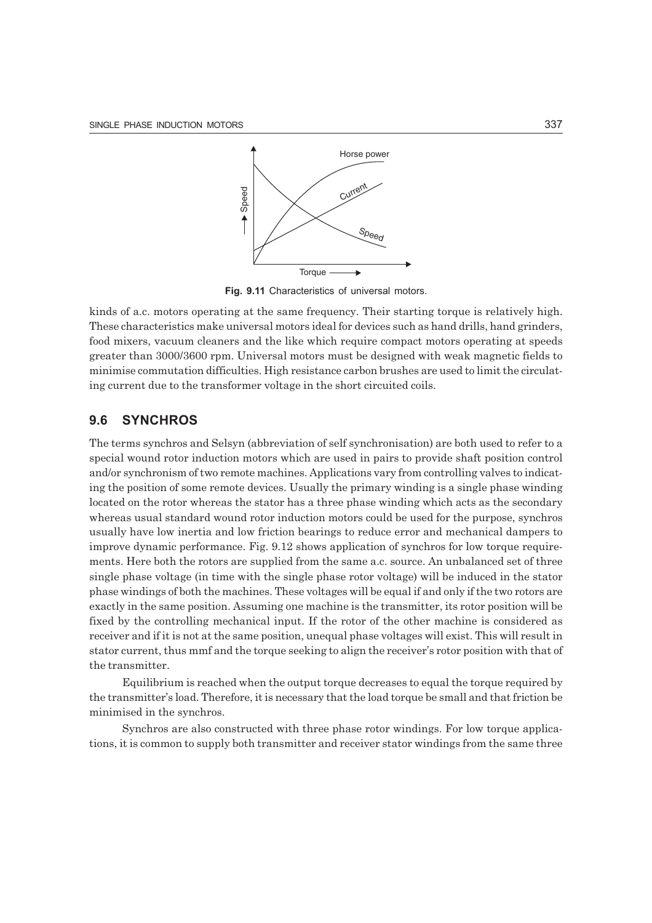

Fig. 9.11 Characteristics of universal motors.

kinds of a.c. motors operating at the same frequency. Their starting torque is relatively high. These characteristics make universal motors ideal for devices such as hand drills, hand grinders, food mixers, vacuum cleaners and the like which require compact motors operating at speeds greater than 3000/3600 rpm. Universal motors must be designed with weak magnetic fields to minimise commutation difficulties. High resistance carbon brushes are used to limit the circulating current due to the transformer voltage in the short circuited coils.

# 9.6 **SYNCHROS**

The terms synchros and Selsyn (abbreviation of self synchronisation) are both used to refer to a special wound rotor induction motors which are used in pairs to provide shaft position control and/or synchronism of two remote machines. Applications vary from controlling valves to indicating the position of some remote devices. Usually the primary winding is a single phase winding located on the rotor whereas the stator has a three phase winding which acts as the secondary whereas usual standard wound rotor induction motors could be used for the purpose, synchros usually have low inertia and low friction bearings to reduce error and mechanical dampers to improve dynamic performance. Fig. 9.12 shows application of synchros for low torque requirements. Here both the rotors are supplied from the same a.c. source. An unbalanced set of three single phase voltage (in time with the single phase rotor voltage) will be induced in the stator phase windings of both the machines. These voltages will be equal if and only if the two rotors are exactly in the same position. Assuming one machine is the transmitter, its rotor position will be fixed by the controlling mechanical input. If the rotor of the other machine is considered as receiver and if it is not at the same position, unequal phase voltages will exist. This will result in stator current, thus mmf and the torque seeking to align the receiver's rotor position with that of the transmitter.

Equilibrium is reached when the output torque decreases to equal the torque required by the transmitter's load. Therefore, it is necessary that the load torque be small and that friction be minimised in the synchros.

Synchros are also constructed with three phase rotor windings. For low torque applications, it is common to supply both transmitter and receiver stator windings from the same three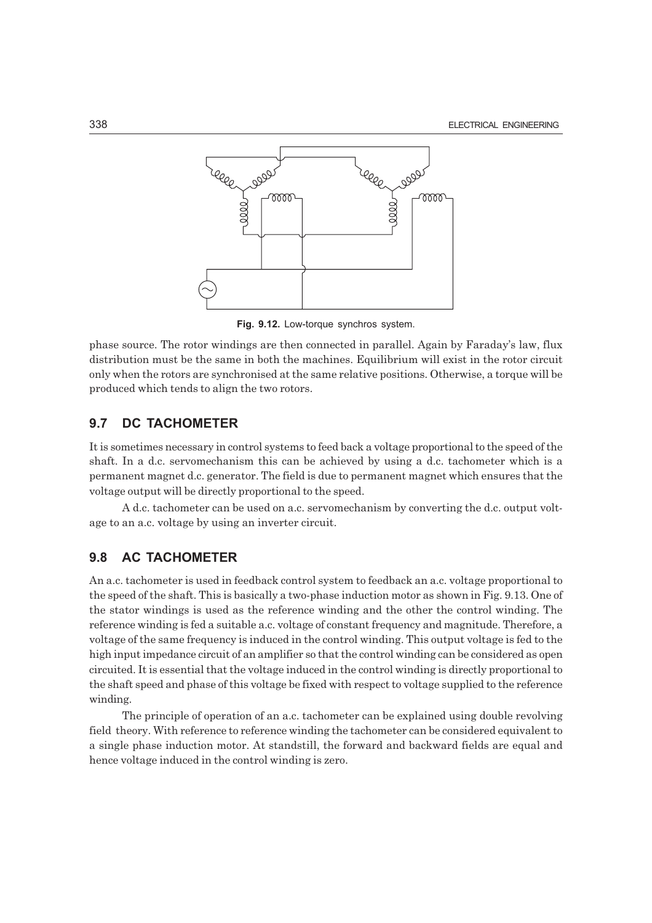

Fig. 9.12. Low-torque synchros system.

phase source. The rotor windings are then connected in parallel. Again by Faraday's law, flux distribution must be the same in both the machines. Equilibrium will exist in the rotor circuit only when the rotors are synchronised at the same relative positions. Otherwise, a torque will be produced which tends to align the two rotors.

# 9.7 **DC TACHOMETER**

It is sometimes necessary in control systems to feed back a voltage proportional to the speed of the shaft. In a d.c. servomechanism this can be achieved by using a d.c. tachometer which is a permanent magnet d.c. generator. The field is due to permanent magnet which ensures that the voltage output will be directly proportional to the speed.

A d.c. tachometer can be used on a.c. servomechanism by converting the d.c. output voltage to an a.c. voltage by using an inverter circuit.

# **AC TACHOMETER** 9.8

An a.c. tachometer is used in feedback control system to feedback an a.c. voltage proportional to the speed of the shaft. This is basically a two-phase induction motor as shown in Fig. 9.13. One of the stator windings is used as the reference winding and the other the control winding. The reference winding is fed a suitable a.c. voltage of constant frequency and magnitude. Therefore, a voltage of the same frequency is induced in the control winding. This output voltage is fed to the high input impedance circuit of an amplifier so that the control winding can be considered as open circuited. It is essential that the voltage induced in the control winding is directly proportional to the shaft speed and phase of this voltage be fixed with respect to voltage supplied to the reference winding.

The principle of operation of an a.c. tachometer can be explained using double revolving field theory. With reference to reference winding the tachometer can be considered equivalent to a single phase induction motor. At standstill, the forward and backward fields are equal and hence voltage induced in the control winding is zero.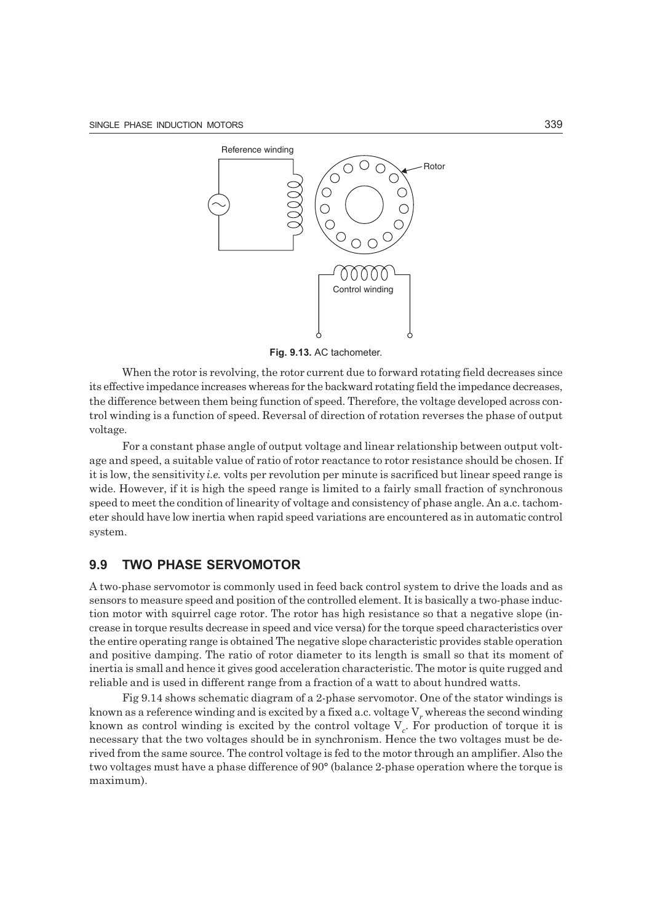

Fig. 9.13. AC tachometer.

When the rotor is revolving, the rotor current due to forward rotating field decreases since its effective impedance increases whereas for the backward rotating field the impedance decreases, the difference between them being function of speed. Therefore, the voltage developed across control winding is a function of speed. Reversal of direction of rotation reverses the phase of output voltage.

For a constant phase angle of output voltage and linear relationship between output voltage and speed, a suitable value of ratio of rotor reactance to rotor resistance should be chosen. If it is low, the sensitivity *i.e.* volts per revolution per minute is sacrificed but linear speed range is wide. However, if it is high the speed range is limited to a fairly small fraction of synchronous speed to meet the condition of linearity of voltage and consistency of phase angle. An a.c. tachometer should have low inertia when rapid speed variations are encountered as in automatic control system.

### **TWO PHASE SERVOMOTOR** 9.9

A two-phase servomotor is commonly used in feed back control system to drive the loads and as sensors to measure speed and position of the controlled element. It is basically a two-phase induction motor with squirrel cage rotor. The rotor has high resistance so that a negative slope (increase in torque results decrease in speed and vice versa) for the torque speed characteristics over the entire operating range is obtained The negative slope characteristic provides stable operation and positive damping. The ratio of rotor diameter to its length is small so that its moment of inertia is small and hence it gives good acceleration characteristic. The motor is quite rugged and reliable and is used in different range from a fraction of a watt to about hundred watts.

Fig 9.14 shows schematic diagram of a 2-phase servomotor. One of the stator windings is known as a reference winding and is excited by a fixed a.c. voltage  $V_r$ , whereas the second winding known as control winding is excited by the control voltage  $V_c$ . For production of torque it is necessary that the two voltages should be in synchronism. Hence the two voltages must be derived from the same source. The control voltage is fed to the motor through an amplifier. Also the two voltages must have a phase difference of 90° (balance 2-phase operation where the torque is maximum).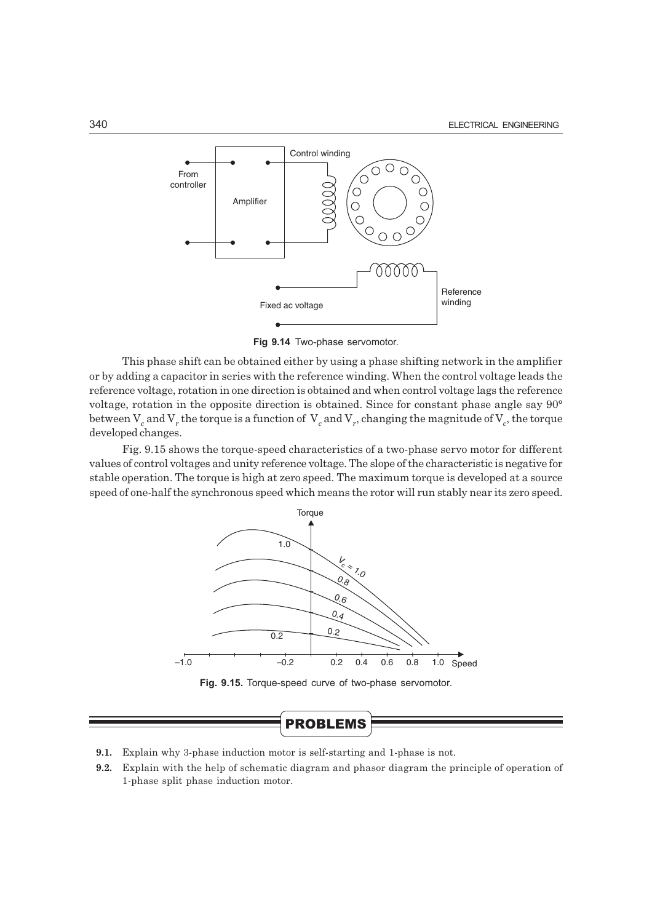

Fig 9.14 Two-phase servomotor.

This phase shift can be obtained either by using a phase shifting network in the amplifier or by adding a capacitor in series with the reference winding. When the control voltage leads the reference voltage, rotation in one direction is obtained and when control voltage lags the reference voltage, rotation in the opposite direction is obtained. Since for constant phase angle say 90° between  $V_c$  and  $V_r$ , the torque is a function of  $V_c$  and  $V_r$ , changing the magnitude of  $V_c$ , the torque developed changes.

Fig. 9.15 shows the torque-speed characteristics of a two-phase servo motor for different values of control voltages and unity reference voltage. The slope of the characteristic is negative for stable operation. The torque is high at zero speed. The maximum torque is developed at a source speed of one-half the synchronous speed which means the rotor will run stably near its zero speed.





**PROBLEMS** 

- 9.1. Explain why 3-phase induction motor is self-starting and 1-phase is not.
- **9.2.** Explain with the help of schematic diagram and phasor diagram the principle of operation of 1-phase split phase induction motor.